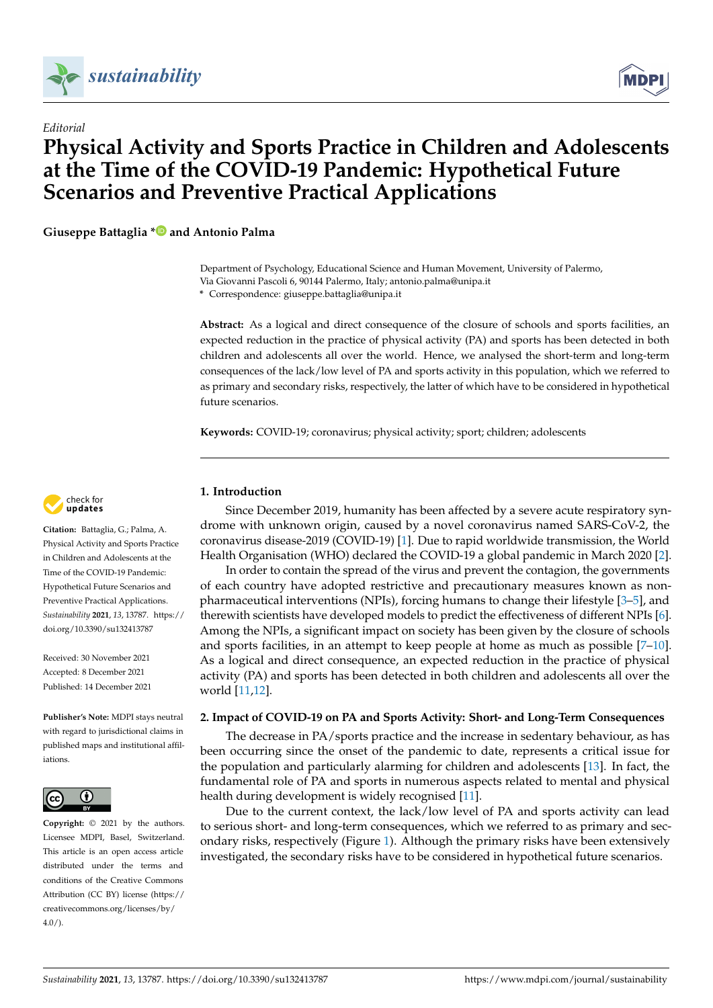



# *Editorial* **Physical Activity and Sports Practice in Children and Adolescents at the Time of the COVID-19 Pandemic: Hypothetical Future Scenarios and Preventive Practical Applications**

**Giuseppe Battaglia [\\*](https://orcid.org/0000-0002-7758-7175) and Antonio Palma**

Department of Psychology, Educational Science and Human Movement, University of Palermo, Via Giovanni Pascoli 6, 90144 Palermo, Italy; antonio.palma@unipa.it

**\*** Correspondence: giuseppe.battaglia@unipa.it

**Abstract:** As a logical and direct consequence of the closure of schools and sports facilities, an expected reduction in the practice of physical activity (PA) and sports has been detected in both children and adolescents all over the world. Hence, we analysed the short-term and long-term consequences of the lack/low level of PA and sports activity in this population, which we referred to as primary and secondary risks, respectively, the latter of which have to be considered in hypothetical future scenarios.

**Keywords:** COVID-19; coronavirus; physical activity; sport; children; adolescents

## **1. Introduction**

Since December 2019, humanity has been affected by a severe acute respiratory syndrome with unknown origin, caused by a novel coronavirus named SARS-CoV-2, the coronavirus disease-2019 (COVID-19) [\[1\]](#page-2-0). Due to rapid worldwide transmission, the World Health Organisation (WHO) declared the COVID-19 a global pandemic in March 2020 [\[2\]](#page-2-1).

In order to contain the spread of the virus and prevent the contagion, the governments of each country have adopted restrictive and precautionary measures known as nonpharmaceutical interventions (NPIs), forcing humans to change their lifestyle [\[3–](#page-2-2)[5\]](#page-2-3), and therewith scientists have developed models to predict the effectiveness of different NPIs [\[6\]](#page-2-4). Among the NPIs, a significant impact on society has been given by the closure of schools and sports facilities, in an attempt to keep people at home as much as possible [\[7](#page-2-5)[–10\]](#page-2-6). As a logical and direct consequence, an expected reduction in the practice of physical activity (PA) and sports has been detected in both children and adolescents all over the world [\[11](#page-2-7)[,12\]](#page-2-8).

## **2. Impact of COVID-19 on PA and Sports Activity: Short- and Long-Term Consequences**

The decrease in PA/sports practice and the increase in sedentary behaviour, as has been occurring since the onset of the pandemic to date, represents a critical issue for the population and particularly alarming for children and adolescents [\[13\]](#page-2-9). In fact, the fundamental role of PA and sports in numerous aspects related to mental and physical health during development is widely recognised [\[11\]](#page-2-7).

Due to the current context, the lack/low level of PA and sports activity can lead to serious short- and long-term consequences, which we referred to as primary and secondary risks, respectively (Figure [1\)](#page-1-0). Although the primary risks have been extensively investigated, the secondary risks have to be considered in hypothetical future scenarios.



**Citation:** Battaglia, G.; Palma, A. Physical Activity and Sports Practice in Children and Adolescents at the Time of the COVID-19 Pandemic: Hypothetical Future Scenarios and Preventive Practical Applications. *Sustainability* **2021**, *13*, 13787. [https://](https://doi.org/10.3390/su132413787) [doi.org/10.3390/su132413787](https://doi.org/10.3390/su132413787)

Received: 30 November 2021 Accepted: 8 December 2021 Published: 14 December 2021

**Publisher's Note:** MDPI stays neutral with regard to jurisdictional claims in published maps and institutional affiliations.



**Copyright:** © 2021 by the authors. Licensee MDPI, Basel, Switzerland. This article is an open access article distributed under the terms and conditions of the Creative Commons Attribution (CC BY) license (https:/[/](https://creativecommons.org/licenses/by/4.0/) [creativecommons.org/licenses/by/](https://creativecommons.org/licenses/by/4.0/)  $4.0/$ ).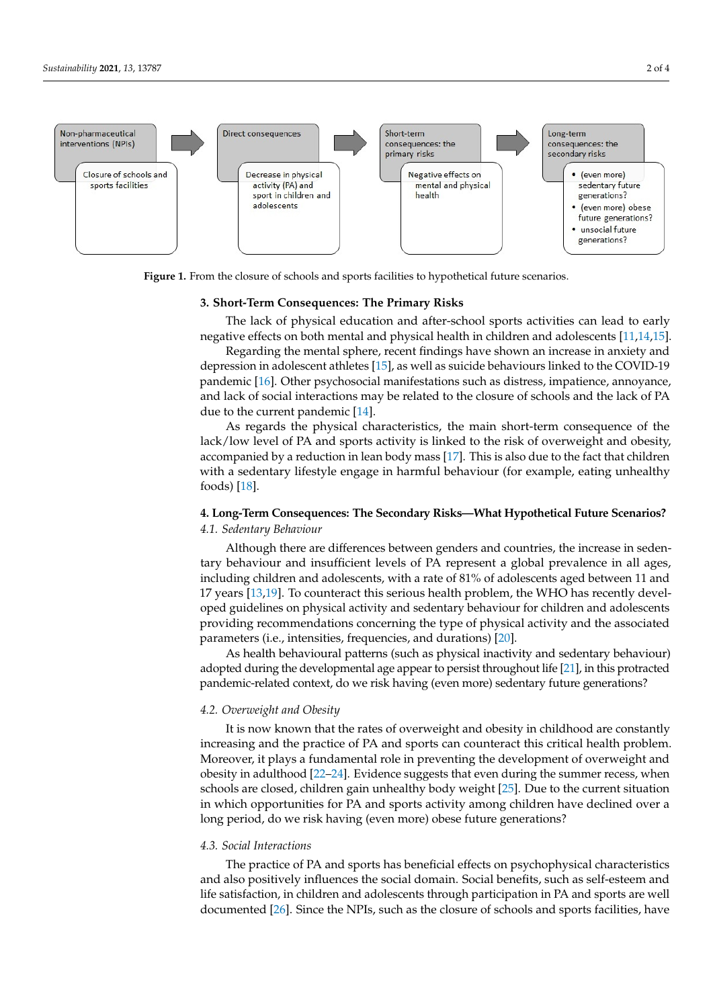<span id="page-1-0"></span>

**Figure 1.** From the closure of schools and sports facilities to hypothetical future scenarios. **Figure 1.** From the closure of schools and sports facilities to hypothetical future scenarios.

## **3. Short-Term Consequences: The Primary Risks 3. Short-Term Consequences: The Primary Risks**

The lack of physical education and after-school sports activities can lead to early The lack of physical education and after-school sports activities can lead to early negative effects on both mental and physical health in children and adolescents negative effects on both mental and physical health in children and adolescents [\[11](#page-2-7)[,14](#page-2-10)[,15\]](#page-3-0).

ondary risks, respectively (Figure 1). Although the primary risks have been extensively

Regarding the mental sphere, recent findings have shown an increase in anxiety and depression in adolescent athletes [\[15\]](#page-3-0), as well as suicide behaviours linked to the COVID-19 pandemic [\[16\]](#page-3-1). Other psychosocial manifestations such as distress, impatience, annoyance, and lack of social interactions may be related to the closure of schools and the lack of PA due to the current pandemic  $[14]$ .

As regards the physical characteristics, the main short-term consequence of the lack/low level of PA and sports activity is linked to the risk of overweight and obesity, accompanied by a reduction in lean body mass [\[17\]](#page-3-2). This is also due to the fact that children with a sedentary lifestyle engage in harmful behaviour (for example, eating unhealthy  $\frac{1}{10}$ . foods) [\[18\]](#page-3-3).

## **4. Long-Term Consequences: The Secondary Risks—What Hypothetical Future Scenari-4. Long-Term Consequences: The Secondary Risks—What Hypothetical Future Scenarios? os?**  *4.1. Sedentary Behaviour*

*4.1. Sedentary Behaviour*  tary behaviour and insufficient levels of PA represent a global prevalence in all ages, including children and adolescents, with a rate of 81% of adolescents aged between 11 and 17 years  $[13,19]$  $[13,19]$ . To counteract this serious health problem, the WHO has recently developed guidelines on physical activity and sedentary behaviour for children and adolescents providing recommendations concerning the type of physical activity and the associated parameters (i.e., intensities, frequencies, and durations) [\[20\]](#page-3-5). Although there are differences between genders and countries, the increase in seden-

As health behavioural patterns (such as physical inactivity and sedentary behaviour) adopted during the developmental age appear to persist throughout life [\[21\]](#page-3-6), in this protracted pandemic-related context, do we risk having (even more) sedentary future generations?

## protracted pandemic-related context, do we risk having (even more) sedentary future *4.2. Overweight and Obesity*

It is now known that the rates of overweight and obesity in childhood are constantly Moreover, it plays a fundamental role in preventing the development of overweight and obesity in adulthood [\[22–](#page-3-7)[24\]](#page-3-8). Evidence suggests that even during the summer recess, when schools are closed, children gain unhealthy body weight [\[25\]](#page-3-9). Due to the current situation in which opportunities for PA and sports activity among children have declined over a long period, do we risk having (even more) obese future generations? increasing and the practice of PA and sports can counteract this critical health problem.

#### $\mathcal{L}$  2. Cosial Interactions children gain under the current  $\mathcal{L}$  $\mathcal{S}_{\mathcal{S}}$  situation in which opportunities for  $\mathcal{S}_{\mathcal{S}}$  and sports and sports among children have declined have declined have declined have declined have declined have declined have declined have declined have *4.3. Social Interactions*

The practice of PA and sports has beneficial effects on psychophysical characteristics *4.3. Social Interactions*  life satisfaction, in children and adolescents through participation in PA and sports are well and also positively influences the social domain. Social benefits, such as self-esteem and documented [\[26\]](#page-3-10). Since the NPIs, such as the closure of schools and sports facilities, have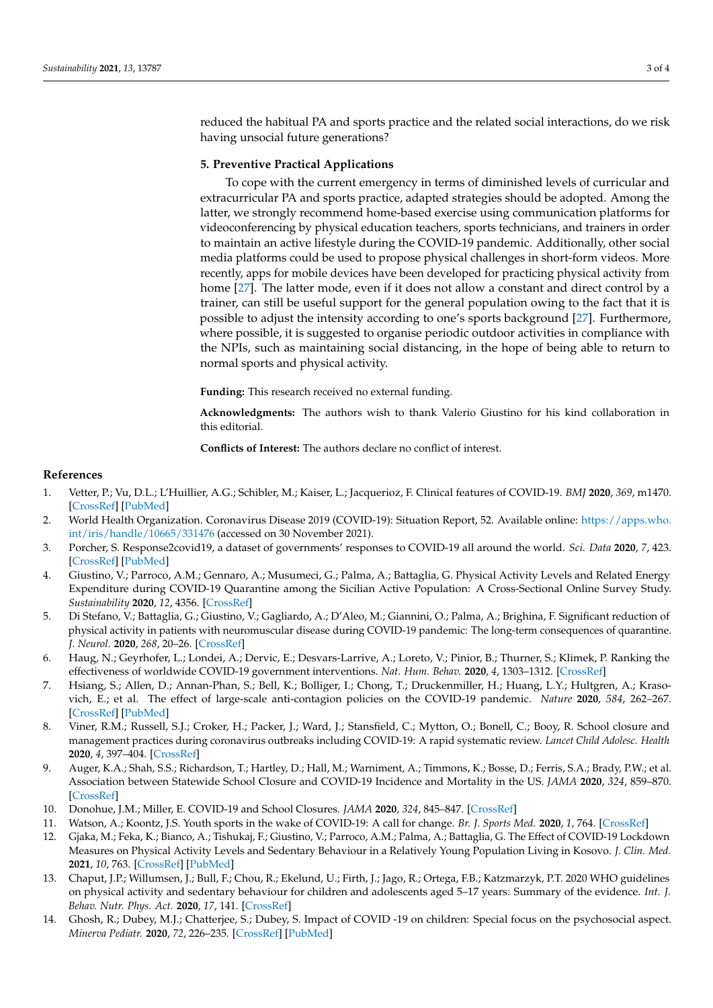reduced the habitual PA and sports practice and the related social interactions, do we risk having unsocial future generations?

## **5. Preventive Practical Applications**

To cope with the current emergency in terms of diminished levels of curricular and extracurricular PA and sports practice, adapted strategies should be adopted. Among the latter, we strongly recommend home-based exercise using communication platforms for videoconferencing by physical education teachers, sports technicians, and trainers in order to maintain an active lifestyle during the COVID-19 pandemic. Additionally, other social media platforms could be used to propose physical challenges in short-form videos. More recently, apps for mobile devices have been developed for practicing physical activity from home [\[27\]](#page-3-11). The latter mode, even if it does not allow a constant and direct control by a trainer, can still be useful support for the general population owing to the fact that it is possible to adjust the intensity according to one's sports background [\[27\]](#page-3-11). Furthermore, where possible, it is suggested to organise periodic outdoor activities in compliance with the NPIs, such as maintaining social distancing, in the hope of being able to return to normal sports and physical activity.

**Funding:** This research received no external funding.

**Acknowledgments:** The authors wish to thank Valerio Giustino for his kind collaboration in this editorial.

**Conflicts of Interest:** The authors declare no conflict of interest.

### **References**

- <span id="page-2-0"></span>1. Vetter, P.; Vu, D.L.; L'Huillier, A.G.; Schibler, M.; Kaiser, L.; Jacquerioz, F. Clinical features of COVID-19. *BMJ* **2020**, *369*, m1470. [\[CrossRef\]](http://doi.org/10.1136/bmj.m1470) [\[PubMed\]](http://www.ncbi.nlm.nih.gov/pubmed/32303495)
- <span id="page-2-1"></span>2. World Health Organization. Coronavirus Disease 2019 (COVID-19): Situation Report, 52. Available online: [https://apps.who.](https://apps.who.int/iris/handle/10665/331476) [int/iris/handle/10665/331476](https://apps.who.int/iris/handle/10665/331476) (accessed on 30 November 2021).
- <span id="page-2-2"></span>3. Porcher, S. Response2covid19, a dataset of governments' responses to COVID-19 all around the world. *Sci. Data* **2020**, *7*, 423. [\[CrossRef\]](http://doi.org/10.1038/s41597-020-00757-y) [\[PubMed\]](http://www.ncbi.nlm.nih.gov/pubmed/33239654)
- 4. Giustino, V.; Parroco, A.M.; Gennaro, A.; Musumeci, G.; Palma, A.; Battaglia, G. Physical Activity Levels and Related Energy Expenditure during COVID-19 Quarantine among the Sicilian Active Population: A Cross-Sectional Online Survey Study. *Sustainability* **2020**, *12*, 4356. [\[CrossRef\]](http://doi.org/10.3390/su12114356)
- <span id="page-2-3"></span>5. Di Stefano, V.; Battaglia, G.; Giustino, V.; Gagliardo, A.; D'Aleo, M.; Giannini, O.; Palma, A.; Brighina, F. Significant reduction of physical activity in patients with neuromuscular disease during COVID-19 pandemic: The long-term consequences of quarantine. *J. Neurol.* **2020**, *268*, 20–26. [\[CrossRef\]](http://doi.org/10.1007/s00415-020-10064-6)
- <span id="page-2-4"></span>6. Haug, N.; Geyrhofer, L.; Londei, A.; Dervic, E.; Desvars-Larrive, A.; Loreto, V.; Pinior, B.; Thurner, S.; Klimek, P. Ranking the effectiveness of worldwide COVID-19 government interventions. *Nat. Hum. Behav.* **2020**, *4*, 1303–1312. [\[CrossRef\]](http://doi.org/10.1038/s41562-020-01009-0)
- <span id="page-2-5"></span>7. Hsiang, S.; Allen, D.; Annan-Phan, S.; Bell, K.; Bolliger, I.; Chong, T.; Druckenmiller, H.; Huang, L.Y.; Hultgren, A.; Krasovich, E.; et al. The effect of large-scale anti-contagion policies on the COVID-19 pandemic. *Nature* **2020**, *584*, 262–267. [\[CrossRef\]](http://doi.org/10.1038/s41586-020-2404-8) [\[PubMed\]](http://www.ncbi.nlm.nih.gov/pubmed/32512578)
- 8. Viner, R.M.; Russell, S.J.; Croker, H.; Packer, J.; Ward, J.; Stansfield, C.; Mytton, O.; Bonell, C.; Booy, R. School closure and management practices during coronavirus outbreaks including COVID-19: A rapid systematic review. *Lancet Child Adolesc. Health* **2020**, *4*, 397–404. [\[CrossRef\]](http://doi.org/10.1016/S2352-4642(20)30095-X)
- 9. Auger, K.A.; Shah, S.S.; Richardson, T.; Hartley, D.; Hall, M.; Warniment, A.; Timmons, K.; Bosse, D.; Ferris, S.A.; Brady, P.W.; et al. Association between Statewide School Closure and COVID-19 Incidence and Mortality in the US. *JAMA* **2020**, *324*, 859–870. [\[CrossRef\]](http://doi.org/10.1001/jama.2020.14348)
- <span id="page-2-6"></span>10. Donohue, J.M.; Miller, E. COVID-19 and School Closures. *JAMA* **2020**, *324*, 845–847. [\[CrossRef\]](http://doi.org/10.1001/jama.2020.13092)
- <span id="page-2-7"></span>11. Watson, A.; Koontz, J.S. Youth sports in the wake of COVID-19: A call for change. *Br. J. Sports Med.* **2020**, *1*, 764. [\[CrossRef\]](http://doi.org/10.1136/bjsports-2020-103288)
- <span id="page-2-8"></span>12. Gjaka, M.; Feka, K.; Bianco, A.; Tishukaj, F.; Giustino, V.; Parroco, A.M.; Palma, A.; Battaglia, G. The Effect of COVID-19 Lockdown Measures on Physical Activity Levels and Sedentary Behaviour in a Relatively Young Population Living in Kosovo. *J. Clin. Med.* **2021**, *10*, 763. [\[CrossRef\]](http://doi.org/10.3390/jcm10040763) [\[PubMed\]](http://www.ncbi.nlm.nih.gov/pubmed/33672837)
- <span id="page-2-9"></span>13. Chaput, J.P.; Willumsen, J.; Bull, F.; Chou, R.; Ekelund, U.; Firth, J.; Jago, R.; Ortega, F.B.; Katzmarzyk, P.T. 2020 WHO guidelines on physical activity and sedentary behaviour for children and adolescents aged 5–17 years: Summary of the evidence. *Int. J. Behav. Nutr. Phys. Act.* **2020**, *17*, 141. [\[CrossRef\]](http://doi.org/10.1186/s12966-020-01037-z)
- <span id="page-2-10"></span>14. Ghosh, R.; Dubey, M.J.; Chatterjee, S.; Dubey, S. Impact of COVID -19 on children: Special focus on the psychosocial aspect. *Minerva Pediatr.* **2020**, *72*, 226–235. [\[CrossRef\]](http://doi.org/10.23736/S0026-4946.20.05887-9) [\[PubMed\]](http://www.ncbi.nlm.nih.gov/pubmed/32613821)